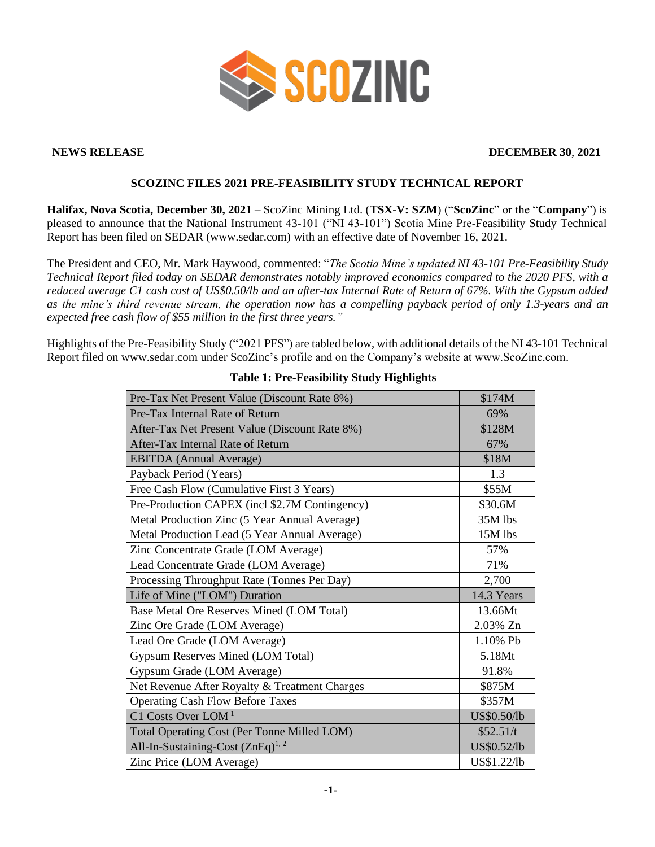

# **NEWS RELEASE DECEMBER 30**, **2021**

# **SCOZINC FILES 2021 PRE-FEASIBILITY STUDY TECHNICAL REPORT**

**Halifax, Nova Scotia, December 30, 2021 –** ScoZinc Mining Ltd. (**TSX-V: SZM**) ("**ScoZinc**" or the "**Company**") is pleased to announce that the National Instrument 43-101 ("NI 43-101") Scotia Mine Pre-Feasibility Study Technical Report has been filed on SEDAR (www.sedar.com) with an effective date of November 16, 2021.

The President and CEO, Mr. Mark Haywood, commented: "*The Scotia Mine's updated NI 43-101 Pre-Feasibility Study Technical Report filed today on SEDAR demonstrates notably improved economics compared to the 2020 PFS, with a reduced average C1 cash cost of US\$0.50/lb and an after-tax Internal Rate of Return of 67%. With the Gypsum added as the mine's third revenue stream, the operation now has a compelling payback period of only 1.3-years and an expected free cash flow of \$55 million in the first three years."*

Highlights of the Pre-Feasibility Study ("2021 PFS") are tabled below, with additional details of the NI 43-101 Technical Report filed on www.sedar.com under ScoZinc's profile and on the Company's website at www.ScoZinc.com.

| Pre-Tax Net Present Value (Discount Rate 8%)   | \$174M      |
|------------------------------------------------|-------------|
| Pre-Tax Internal Rate of Return                | 69%         |
| After-Tax Net Present Value (Discount Rate 8%) | \$128M      |
| After-Tax Internal Rate of Return              | 67%         |
| <b>EBITDA</b> (Annual Average)                 | \$18M       |
| Payback Period (Years)                         | 1.3         |
| Free Cash Flow (Cumulative First 3 Years)      | \$55M       |
| Pre-Production CAPEX (incl \$2.7M Contingency) | \$30.6M     |
| Metal Production Zinc (5 Year Annual Average)  | 35M lbs     |
| Metal Production Lead (5 Year Annual Average)  | 15M lbs     |
| Zinc Concentrate Grade (LOM Average)           | 57%         |
| Lead Concentrate Grade (LOM Average)           | 71%         |
| Processing Throughput Rate (Tonnes Per Day)    | 2,700       |
| Life of Mine ("LOM") Duration                  | 14.3 Years  |
| Base Metal Ore Reserves Mined (LOM Total)      | 13.66Mt     |
| Zinc Ore Grade (LOM Average)                   | 2.03% Zn    |
| Lead Ore Grade (LOM Average)                   | 1.10% Pb    |
| Gypsum Reserves Mined (LOM Total)              | 5.18Mt      |
| Gypsum Grade (LOM Average)                     | 91.8%       |
| Net Revenue After Royalty & Treatment Charges  | \$875M      |
| <b>Operating Cash Flow Before Taxes</b>        | \$357M      |
| C1 Costs Over LOM <sup>1</sup>                 | US\$0.50/lb |
| Total Operating Cost (Per Tonne Milled LOM)    | \$52.51/t   |
| All-In-Sustaining-Cost (ZnEq) <sup>1, 2</sup>  | US\$0.52/lb |
| Zinc Price (LOM Average)                       | US\$1.22/lb |

### **Table 1: Pre-Feasibility Study Highlights**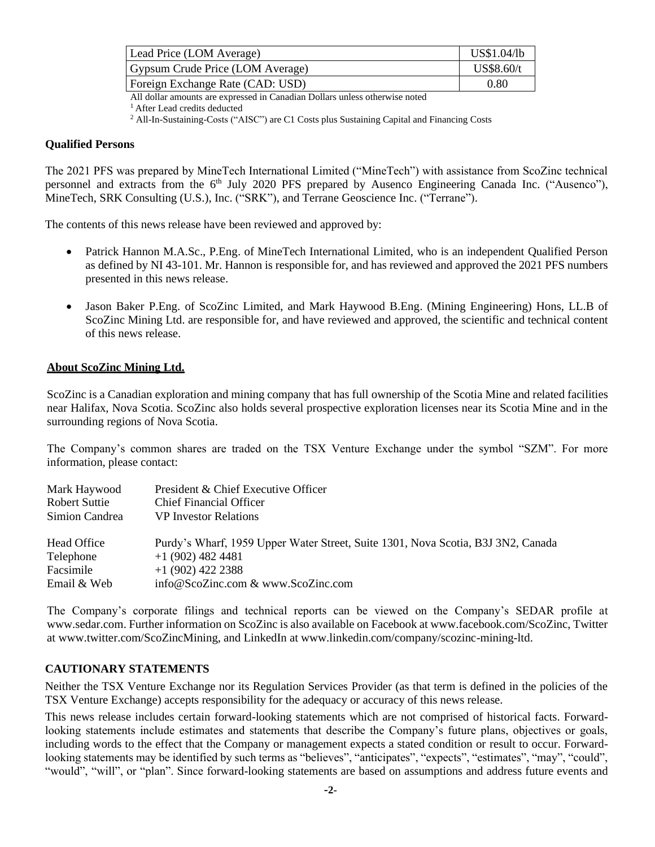| Lead Price (LOM Average)         | US\$1.04/lb |
|----------------------------------|-------------|
| Gypsum Crude Price (LOM Average) | US\$8.60/t  |
| Foreign Exchange Rate (CAD: USD) | 0.80        |

All dollar amounts are expressed in Canadian Dollars unless otherwise noted

<sup>1</sup> After Lead credits deducted

<sup>2</sup> All-In-Sustaining-Costs ("AISC") are C1 Costs plus Sustaining Capital and Financing Costs

#### **Qualified Persons**

The 2021 PFS was prepared by MineTech International Limited ("MineTech") with assistance from ScoZinc technical personnel and extracts from the 6<sup>th</sup> July 2020 PFS prepared by Ausenco Engineering Canada Inc. ("Ausenco"), MineTech, SRK Consulting (U.S.), Inc. ("SRK"), and Terrane Geoscience Inc. ("Terrane").

The contents of this news release have been reviewed and approved by:

- Patrick Hannon M.A.Sc., P.Eng. of MineTech International Limited, who is an independent Qualified Person as defined by NI 43-101. Mr. Hannon is responsible for, and has reviewed and approved the 2021 PFS numbers presented in this news release.
- Jason Baker P.Eng. of ScoZinc Limited, and Mark Haywood B.Eng. (Mining Engineering) Hons, LL.B of ScoZinc Mining Ltd. are responsible for, and have reviewed and approved, the scientific and technical content of this news release.

# **About ScoZinc Mining Ltd.**

ScoZinc is a Canadian exploration and mining company that has full ownership of the Scotia Mine and related facilities near Halifax, Nova Scotia. ScoZinc also holds several prospective exploration licenses near its Scotia Mine and in the surrounding regions of Nova Scotia.

The Company's common shares are traded on the TSX Venture Exchange under the symbol "SZM". For more information, please contact:

| Mark Haywood   | President & Chief Executive Officer                                              |
|----------------|----------------------------------------------------------------------------------|
| Robert Suttie  | <b>Chief Financial Officer</b>                                                   |
| Simion Candrea | <b>VP</b> Investor Relations                                                     |
| Head Office    | Purdy's Wharf, 1959 Upper Water Street, Suite 1301, Nova Scotia, B3J 3N2, Canada |
| Telephone      | $+1(902)$ 482 4481                                                               |
| Facsimile      | $+1$ (902) 422 2388                                                              |
| Email & Web    | info@ScoZinc.com & www.ScoZinc.com                                               |

The Company's corporate filings and technical reports can be viewed on the Company's SEDAR profile at www.sedar.com. Further information on ScoZinc is also available on Facebook at www.facebook.com/ScoZinc, Twitter at www.twitter.com/ScoZincMining, and LinkedIn at www.linkedin.com/company/scozinc-mining-ltd.

#### **CAUTIONARY STATEMENTS**

Neither the TSX Venture Exchange nor its Regulation Services Provider (as that term is defined in the policies of the TSX Venture Exchange) accepts responsibility for the adequacy or accuracy of this news release.

This news release includes certain forward-looking statements which are not comprised of historical facts. Forwardlooking statements include estimates and statements that describe the Company's future plans, objectives or goals, including words to the effect that the Company or management expects a stated condition or result to occur. Forwardlooking statements may be identified by such terms as "believes", "anticipates", "expects", "estimates", "may", "could", "would", "will", or "plan". Since forward-looking statements are based on assumptions and address future events and